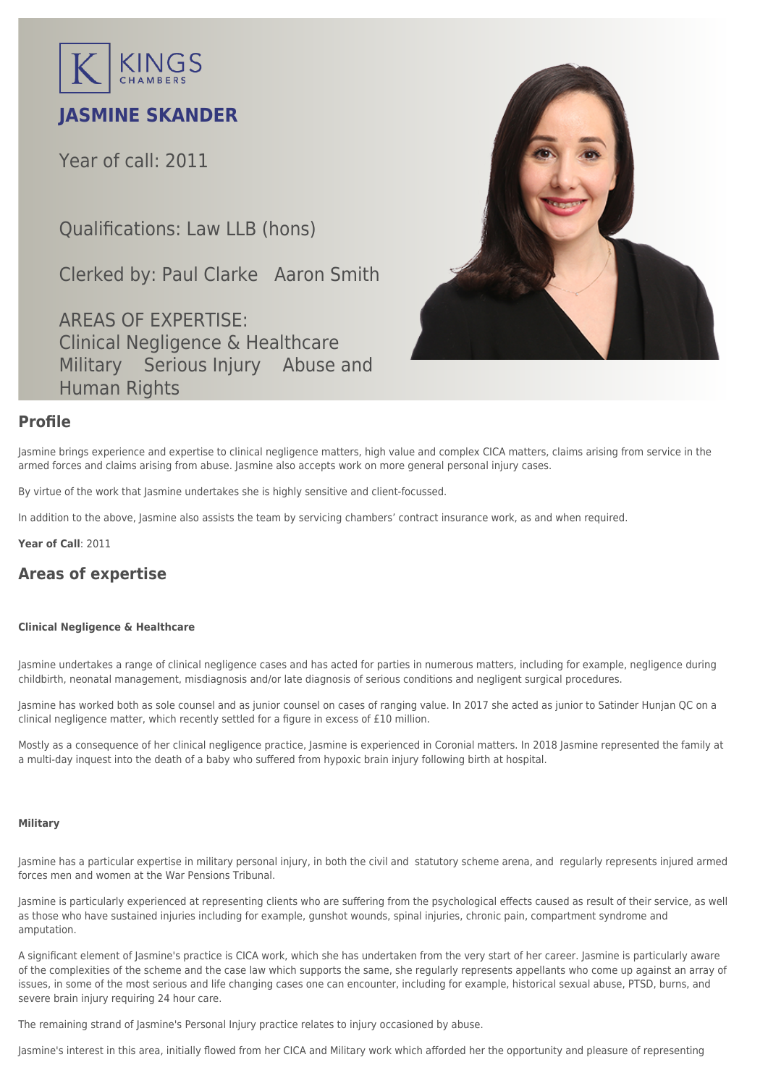

# **JASMINE SKANDER**

Year of call: 2011

Qualifications: Law LLB (hons)

Clerked by: [Paul Clarke](mailto:pclarke@kingschambers.com) [Aaron Smith](mailto:asmith@kingschambers.com)

AREAS OF EXPERTISE: Clinical Negligence & Healthcare Military Serious Injury Abuse and Human Rights



### **Profile**

Jasmine brings experience and expertise to [clinical negligence](https://www.kingschambers.com/connectors/areas-of-expertise/personal-injury-and-clinical-negligence-team/clinical-negligence-and-healthcare/) matters, high value and complex CICA matters, claims arising from service in the armed forces and claims arising from abuse. Jasmine also accepts work on more general personal injury cases.

By virtue of the work that Jasmine undertakes she is highly sensitive and client-focussed.

In addition to the above, Jasmine also assists the team by servicing chambers' contract insurance work, as and when required.

**Year of Call**: 2011

## **Areas of expertise**

#### **[Clinical Negligence & Healthcare](#page--1-0)**

Jasmine undertakes a range of clinical negligence cases and has acted for parties in numerous matters, including for example, negligence during childbirth, neonatal management, misdiagnosis and/or late diagnosis of serious conditions and negligent surgical procedures.

Jasmine has worked both as sole counsel and as junior counsel on cases of ranging value. In 2017 she acted as junior to Satinder Hunjan QC on a clinical negligence matter, which recently settled for a figure in excess of £10 million.

Mostly as a consequence of her clinical negligence practice, Jasmine is experienced in Coronial matters. In 2018 Jasmine represented the family at a multi-day inquest into the death of a baby who suffered from hypoxic brain injury following birth at hospital.

#### **[Military](#page--1-0)**

Jasmine has a particular expertise in military personal injury, in both the civil and statutory scheme arena, and regularly represents injured armed forces men and women at the War Pensions Tribunal.

Jasmine is particularly experienced at representing clients who are suffering from the psychological effects caused as result of their service, as well as those who have sustained injuries including for example, gunshot wounds, spinal injuries, chronic pain, compartment syndrome and amputation.

A significant element of Jasmine's practice is CICA work, which she has undertaken from the very start of her career. Jasmine is particularly aware of the complexities of the scheme and the case law which supports the same, she regularly represents appellants who come up against an array of issues, in some of the most serious and life changing cases one can encounter, including for example, historical sexual abuse, PTSD, burns, and severe brain injury requiring 24 hour care.

The remaining strand of Jasmine's Personal Injury practice relates to injury occasioned by abuse.

Jasmine's interest in this area, initially flowed from her CICA and Military work which afforded her the opportunity and pleasure of representing